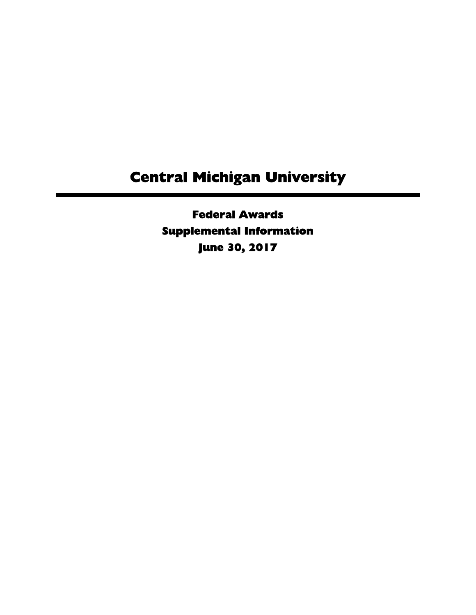Federal Awards Supplemental Information June 30, 2017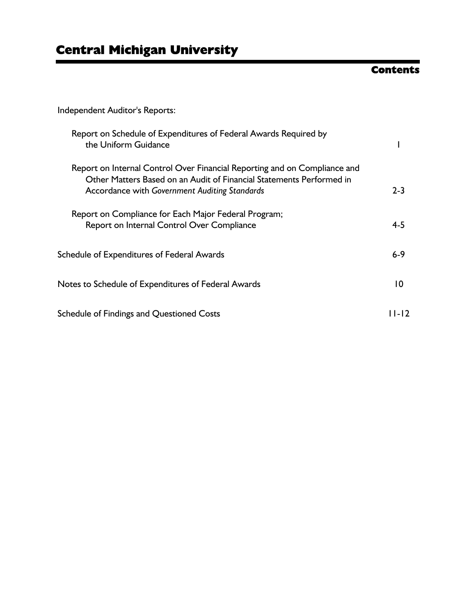### **Contents**

Independent Auditor's Reports:

| Report on Schedule of Expenditures of Federal Awards Required by<br>the Uniform Guidance                                                                                                           |                 |
|----------------------------------------------------------------------------------------------------------------------------------------------------------------------------------------------------|-----------------|
| Report on Internal Control Over Financial Reporting and on Compliance and<br>Other Matters Based on an Audit of Financial Statements Performed in<br>Accordance with Government Auditing Standards | $2 - 3$         |
| Report on Compliance for Each Major Federal Program;<br>Report on Internal Control Over Compliance                                                                                                 | $4 - 5$         |
| Schedule of Expenditures of Federal Awards                                                                                                                                                         | $6 - 9$         |
| Notes to Schedule of Expenditures of Federal Awards                                                                                                                                                | $\overline{10}$ |
| Schedule of Findings and Questioned Costs                                                                                                                                                          | I I - I 2       |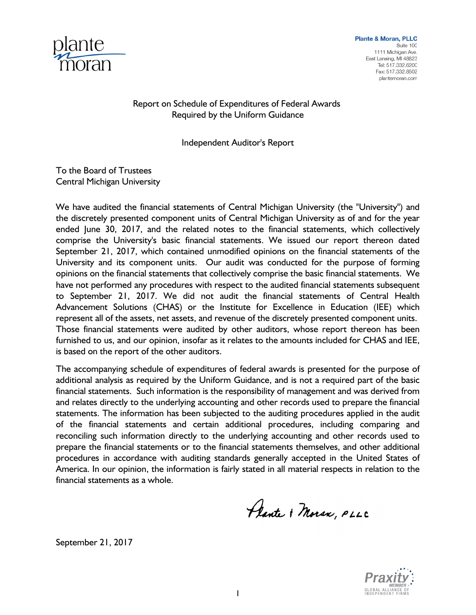

Report on Schedule of Expenditures of Federal Awards Required by the Uniform Guidance

Independent Auditor's Report

To the Board of Trustees Central Michigan University

We have audited the financial statements of Central Michigan University (the "University") and the discretely presented component units of Central Michigan University as of and for the year ended June 30, 2017, and the related notes to the financial statements, which collectively comprise the University's basic financial statements. We issued our report thereon dated September 21, 2017, which contained unmodified opinions on the financial statements of the University and its component units. Our audit was conducted for the purpose of forming opinions on the financial statements that collectively comprise the basic financial statements. We have not performed any procedures with respect to the audited financial statements subsequent to September 21, 2017. We did not audit the financial statements of Central Health Advancement Solutions (CHAS) or the Institute for Excellence in Education (IEE) which represent all of the assets, net assets, and revenue of the discretely presented component units. Those financial statements were audited by other auditors, whose report thereon has been furnished to us, and our opinion, insofar as it relates to the amounts included for CHAS and IEE, is based on the report of the other auditors.

The accompanying schedule of expenditures of federal awards is presented for the purpose of additional analysis as required by the Uniform Guidance, and is not a required part of the basic financial statements. Such information is the responsibility of management and was derived from and relates directly to the underlying accounting and other records used to prepare the financial statements. The information has been subjected to the auditing procedures applied in the audit of the financial statements and certain additional procedures, including comparing and reconciling such information directly to the underlying accounting and other records used to prepare the financial statements or to the financial statements themselves, and other additional procedures in accordance with auditing standards generally accepted in the United States of America. In our opinion, the information is fairly stated in all material respects in relation to the financial statements as a whole.

Plante & Moran, PLLC

September 21, 2017

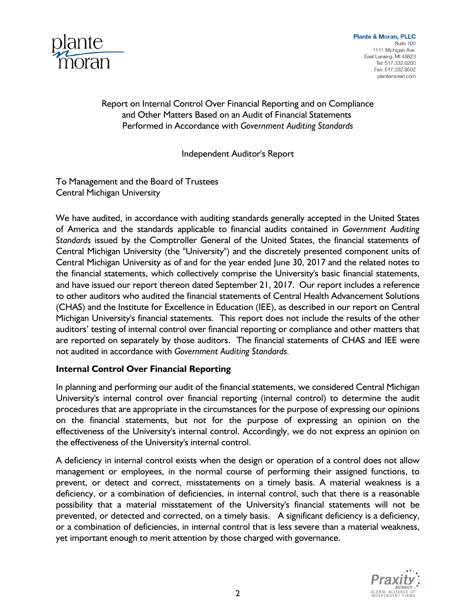

**Plante & Moran, PLLC** Suite 100 1111 Michigan Ave. East Lansing, MI 48823 Tel: 517.332.6200 Fax: 517.332.8502 plantemoran.com

### Report on Internal Control Over Financial Reporting and on Compliance and Other Matters Based on an Audit of Financial Statements Performed in Accordance with *Government Auditing Standards*

#### Independent Auditor's Report

To Management and the Board of Trustees Central Michigan University

We have audited, in accordance with auditing standards generally accepted in the United States of America and the standards applicable to financial audits contained in *Government Auditing Standards* issued by the Comptroller General of the United States, the financial statements of Central Michigan University (the "University") and the discretely presented component units of Central Michigan University as of and for the year ended June 30, 2017 and the related notes to the financial statements, which collectively comprise the University's basic financial statements, and have issued our report thereon dated September 21, 2017. Our report includes a reference to other auditors who audited the financial statements of Central Health Advancement Solutions (CHAS) and the Institute for Excellence in Education (IEE), as described in our report on Central Michigan University's financial statements. This report does not include the results of the other auditors' testing of internal control over financial reporting or compliance and other matters that are reported on separately by those auditors. The financial statements of CHAS and IEE were not audited in accordance with *Government Auditing Standards.*

### **Internal Control Over Financial Reporting**

In planning and performing our audit of the financial statements, we considered Central Michigan University's internal control over financial reporting (internal control) to determine the audit procedures that are appropriate in the circumstances for the purpose of expressing our opinions on the financial statements, but not for the purpose of expressing an opinion on the effectiveness of the University's internal control. Accordingly, we do not express an opinion on the effectiveness of the University's internal control.

A deficiency in internal control exists when the design or operation of a control does not allow management or employees, in the normal course of performing their assigned functions, to prevent, or detect and correct, misstatements on a timely basis. A material weakness is a deficiency, or a combination of deficiencies, in internal control, such that there is a reasonable possibility that a material misstatement of the University's financial statements will not be prevented, or detected and corrected, on a timely basis. A significant deficiency is a deficiency, or a combination of deficiencies, in internal control that is less severe than a material weakness, yet important enough to merit attention by those charged with governance.

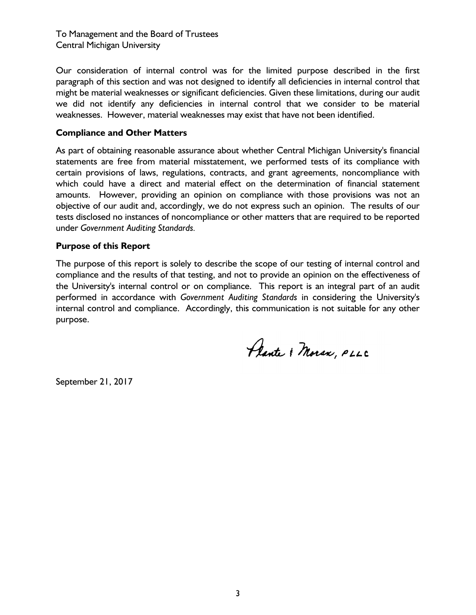To Management and the Board of Trustees Central Michigan University

Our consideration of internal control was for the limited purpose described in the first paragraph of this section and was not designed to identify all deficiencies in internal control that might be material weaknesses or significant deficiencies. Given these limitations, during our audit we did not identify any deficiencies in internal control that we consider to be material weaknesses. However, material weaknesses may exist that have not been identified.

#### **Compliance and Other Matters**

As part of obtaining reasonable assurance about whether Central Michigan University's financial statements are free from material misstatement, we performed tests of its compliance with certain provisions of laws, regulations, contracts, and grant agreements, noncompliance with which could have a direct and material effect on the determination of financial statement amounts. However, providing an opinion on compliance with those provisions was not an objective of our audit and, accordingly, we do not express such an opinion. The results of our tests disclosed no instances of noncompliance or other matters that are required to be reported under *Government Auditing Standards.* 

#### **Purpose of this Report**

The purpose of this report is solely to describe the scope of our testing of internal control and compliance and the results of that testing, and not to provide an opinion on the effectiveness of the University's internal control or on compliance. This report is an integral part of an audit performed in accordance with *Government Auditing Standards* in considering the University's internal control and compliance. Accordingly, this communication is not suitable for any other purpose.

Plante & Moran, PLLC

September 21, 2017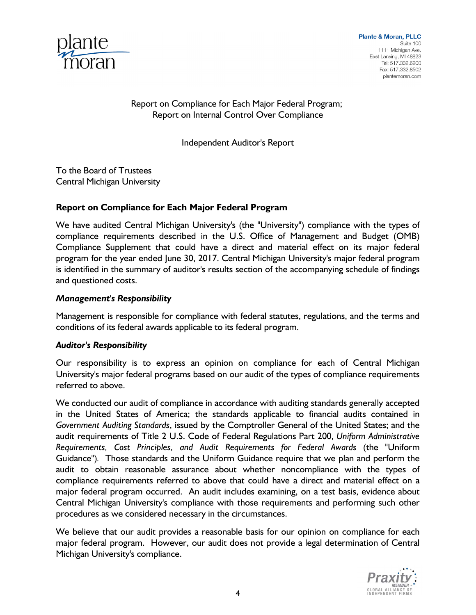

Report on Compliance for Each Major Federal Program; Report on Internal Control Over Compliance

Independent Auditor's Report

To the Board of Trustees Central Michigan University

### **Report on Compliance for Each Major Federal Program**

We have audited Central Michigan University's (the "University") compliance with the types of compliance requirements described in the U.S. Office of Management and Budget (OMB) Compliance Supplement that could have a direct and material effect on its major federal program for the year ended June 30, 2017. Central Michigan University's major federal program is identified in the summary of auditor's results section of the accompanying schedule of findings and questioned costs.

#### *Management's Responsibility*

Management is responsible for compliance with federal statutes, regulations, and the terms and conditions of its federal awards applicable to its federal program.

#### *Auditor's Responsibility*

Our responsibility is to express an opinion on compliance for each of Central Michigan University's major federal programs based on our audit of the types of compliance requirements referred to above.

We conducted our audit of compliance in accordance with auditing standards generally accepted in the United States of America; the standards applicable to financial audits contained in *Government Auditing Standards*, issued by the Comptroller General of the United States; and the audit requirements of Title 2 U.S. Code of Federal Regulations Part 200, *Uniform Administrative Requirements, Cost Principles, and Audit Requirements for Federal Awards* (the "Uniform Guidance")*.* Those standards and the Uniform Guidance require that we plan and perform the audit to obtain reasonable assurance about whether noncompliance with the types of compliance requirements referred to above that could have a direct and material effect on a major federal program occurred. An audit includes examining, on a test basis, evidence about Central Michigan University's compliance with those requirements and performing such other procedures as we considered necessary in the circumstances.

We believe that our audit provides a reasonable basis for our opinion on compliance for each major federal program. However, our audit does not provide a legal determination of Central Michigan University's compliance.

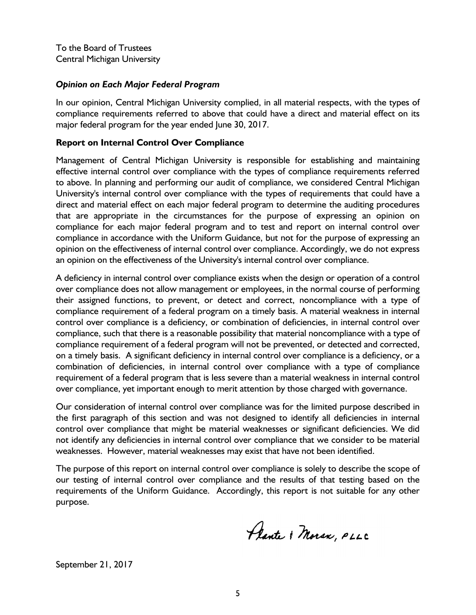#### *Opinion on Each Major Federal Program*

In our opinion, Central Michigan University complied, in all material respects, with the types of compliance requirements referred to above that could have a direct and material effect on its major federal program for the year ended June 30, 2017.

#### **Report on Internal Control Over Compliance**

Management of Central Michigan University is responsible for establishing and maintaining effective internal control over compliance with the types of compliance requirements referred to above. In planning and performing our audit of compliance, we considered Central Michigan University's internal control over compliance with the types of requirements that could have a direct and material effect on each major federal program to determine the auditing procedures that are appropriate in the circumstances for the purpose of expressing an opinion on compliance for each major federal program and to test and report on internal control over compliance in accordance with the Uniform Guidance, but not for the purpose of expressing an opinion on the effectiveness of internal control over compliance. Accordingly, we do not express an opinion on the effectiveness of the University's internal control over compliance.

A deficiency in internal control over compliance exists when the design or operation of a control over compliance does not allow management or employees, in the normal course of performing their assigned functions, to prevent, or detect and correct, noncompliance with a type of compliance requirement of a federal program on a timely basis. A material weakness in internal control over compliance is a deficiency, or combination of deficiencies, in internal control over compliance, such that there is a reasonable possibility that material noncompliance with a type of compliance requirement of a federal program will not be prevented, or detected and corrected, on a timely basis. A significant deficiency in internal control over compliance is a deficiency, or a combination of deficiencies, in internal control over compliance with a type of compliance requirement of a federal program that is less severe than a material weakness in internal control over compliance, yet important enough to merit attention by those charged with governance.

Our consideration of internal control over compliance was for the limited purpose described in the first paragraph of this section and was not designed to identify all deficiencies in internal control over compliance that might be material weaknesses or significant deficiencies. We did not identify any deficiencies in internal control over compliance that we consider to be material weaknesses. However, material weaknesses may exist that have not been identified.

The purpose of this report on internal control over compliance is solely to describe the scope of our testing of internal control over compliance and the results of that testing based on the requirements of the Uniform Guidance. Accordingly, this report is not suitable for any other purpose.

Plante & Moran, PLLC

September 21, 2017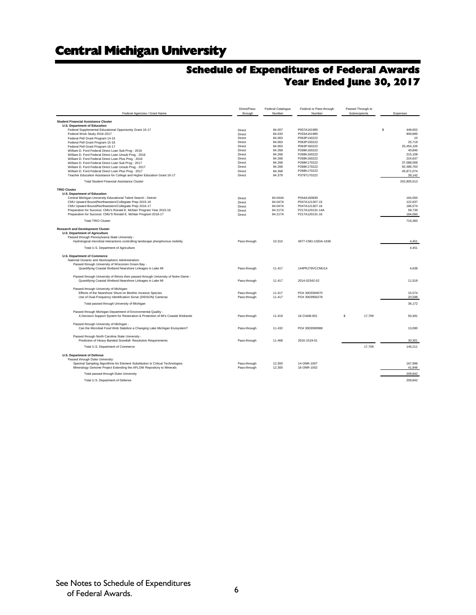### **Schedule of Expenditures of Federal Awards Year Ended June 30, 2017**

| Federal Agencies / Grant Name                                                                                                                    | Direct/Pass-<br>through | Federal Catalogue<br>Number | Federal or Pass-through<br>Number | Passed Through to<br>Subrecipients | Expenses             |    |
|--------------------------------------------------------------------------------------------------------------------------------------------------|-------------------------|-----------------------------|-----------------------------------|------------------------------------|----------------------|----|
| <b>Student Financial Assistance Cluster</b>                                                                                                      |                         |                             |                                   |                                    |                      |    |
| <b>U.S. Department of Education</b>                                                                                                              |                         |                             |                                   |                                    |                      |    |
| Federal Supplemental Educational Opportunity Grant 16-17                                                                                         | Direct                  | 84.007                      | P007A161985                       |                                    | s<br>449,652         |    |
| Federal Work Study 2016-2017                                                                                                                     | Direct                  | 84.033                      | P033A161985                       |                                    | 909,895              |    |
| Federal Pell Grant Program 14-15                                                                                                                 | Direct<br>Direct        | 84.063<br>84.063            | P063P140222<br>P063P150222        |                                    | 25.719               | 10 |
| Federal Pell Grant Program 15-16                                                                                                                 |                         |                             |                                   |                                    |                      |    |
| Federal Pell Grant Program 16-17<br>William D. Ford Federal Direct Loan Sub Prog - 2016                                                          | Direct<br>Direct        | 84.063<br>84.268            | P063P160222<br>P268K160222        |                                    | 25,454,105<br>40.840 |    |
| William D. Ford Federal Direct Loan Unsub Prog - 2016                                                                                            | Direct                  | 84.268                      | P268K160222                       |                                    | 215,108              |    |
| William D. Ford Federal Direct Loan Plus Prog - 2016                                                                                             | Direct                  | 84.268                      | P268K160222                       |                                    | 224,637              |    |
| William D. Ford Federal Direct Loan Sub Prog - 2017                                                                                              | Direct                  | 84.268                      | P268K170222                       |                                    | 37.088.068           |    |
| William D. Ford Federal Direct Loan Unsub Prog - 2017                                                                                            | Direct                  | 84.268                      | P268K170222                       |                                    | 92,486,763           |    |
| William D. Ford Federal Direct Loan Plus Prog - 2017                                                                                             | Direct                  | 84.268                      | P268K170222                       |                                    | 45,871,074           |    |
| Teacher Education Assistance for College and Higher Education Grant 16-17                                                                        | Direct                  | 84.379                      | P379T170222                       |                                    | 39,142               |    |
| Total Student Financial Assistance Cluster                                                                                                       |                         |                             |                                   |                                    | 202,805,013          |    |
| <b>TRIO Cluster</b>                                                                                                                              |                         |                             |                                   |                                    |                      |    |
| <b>U.S. Department of Education</b>                                                                                                              |                         |                             |                                   |                                    |                      |    |
| Central Michigan University Educational Talent Search - Detroit                                                                                  | Direct                  | 84.044A                     | P044A160830                       |                                    | 164,050              |    |
| CMU Upward Bound/Northwestern/Collegiate Prep 2015-16                                                                                            | Direct                  | 84.047A                     | P047A121307-15                    |                                    | 122.937              |    |
| CMU Upward Bound/Northwestern/Collegiate Prep 2016-17                                                                                            | Direct                  | 84.047A                     | P047A121307-16                    |                                    | 186,574              |    |
| Preparation for Success: CMU's Ronald E. McNair Program Year 2015-16                                                                             | Direct                  | 84.217A                     | P217A120131-14A                   |                                    | 58.739               |    |
| Preparation for Success: CMU'S Ronald E. McNair Program 2016-17                                                                                  | Direct                  | 84.217A                     | P217A120131-16                    |                                    | 184,060              |    |
| <b>Total TRIO Cluster</b>                                                                                                                        |                         |                             |                                   |                                    | 716,360              |    |
| <b>Research and Development Cluster</b>                                                                                                          |                         |                             |                                   |                                    |                      |    |
| <b>U.S. Department of Agriculture</b>                                                                                                            |                         |                             |                                   |                                    |                      |    |
| Passed through Pennsylvania State University -<br>Hydrological-microbial interactions controlling landscape phosphorous mobility                 | Pass-through            | 10.310                      | 4977-CMU-USDA-1636                |                                    | 4,451                |    |
|                                                                                                                                                  |                         |                             |                                   |                                    |                      |    |
| Total U.S. Department of Agriculture                                                                                                             |                         |                             |                                   |                                    | 4,451                |    |
| <b>U.S. Department of Commerce</b><br>National Oceanic and Atomospheric Administration:                                                          |                         |                             |                                   |                                    |                      |    |
| Passed through University of Wisconsin Green Bay -                                                                                               |                         |                             |                                   |                                    |                      |    |
| Quantifying Coastal Wetland Nearshore Linkages in Lake MI                                                                                        | Pass-through            | 11.417                      | 144PRJ79VCCMU14                   |                                    | 4,638                |    |
| Passed through University of Illinois then passed through University of Notre Dame -                                                             |                         |                             |                                   |                                    |                      |    |
| Quantifying Coastal Wetland Nearshore Linkages in Lake MI                                                                                        | Pass-through            | 11.417                      | 2014-02342-02                     |                                    | 11.519               |    |
| Passed through University of Michigan:                                                                                                           |                         |                             |                                   |                                    |                      |    |
| Effects of the Nearshore Shunt on Benthic Invasive Species                                                                                       | Pass-through            | 11.417                      | PO#3003394670                     |                                    | 15.574               |    |
| Use of Dual-Frequency Identification Sonar (DIDSON) Cameras                                                                                      | Pass-through            | 11.417                      | PO#3003956278                     |                                    | 20,598               |    |
| Total passed through University of Michigan                                                                                                      |                         |                             |                                   |                                    | 36.172               |    |
|                                                                                                                                                  |                         |                             |                                   |                                    |                      |    |
| Passed through Michigan Department of Environmental Quality -<br>A Decision Support System for Restoration & Protection of MI's Coastal Wetlands | Pass-through            | 11.419                      | 16-CHAB-001                       | \$<br>17,709                       | 50,491               |    |
|                                                                                                                                                  |                         |                             |                                   |                                    |                      |    |
| Passed through University of Michigan -                                                                                                          |                         |                             |                                   |                                    |                      |    |
| Can the Microbial Food Web Stabilize a Changing Lake Michigan Ecosystem?                                                                         | Pass-through            | 11.432                      | PO#3003590988                     |                                    | 13,090               |    |
| Passed through North Carolina State University -                                                                                                 |                         |                             |                                   |                                    |                      |    |
| Prediction of Heavy Banded Snowfall: Resolution Requirements                                                                                     | Pass-through            | 11,468                      | 2016-1519-01                      |                                    | 30.301               |    |
|                                                                                                                                                  |                         |                             |                                   | 17,709                             |                      |    |
| Total U.S. Department of Commerce                                                                                                                |                         |                             |                                   |                                    | 146,211              |    |
| <b>U.S. Department of Defense</b>                                                                                                                |                         |                             |                                   |                                    |                      |    |
| Passed through Duke University:                                                                                                                  |                         |                             |                                   |                                    |                      |    |
| Spectral Sampling Algorithms for Element Substitution in Critical Technologies                                                                   | Pass-through            | 12.300                      | 14-ONR-1007                       |                                    | 167.996              |    |
| Mineralogy Genome Project Extending the AFLOW Repository to Minerals                                                                             | Pass-through            | 12.300                      | 16-ONR-1002                       |                                    | 41,846               |    |
| Total passed through Duke University                                                                                                             |                         |                             |                                   |                                    | 209,842              |    |
| Total U.S. Department of Defense                                                                                                                 |                         |                             |                                   |                                    | 209.842              |    |
|                                                                                                                                                  |                         |                             |                                   |                                    |                      |    |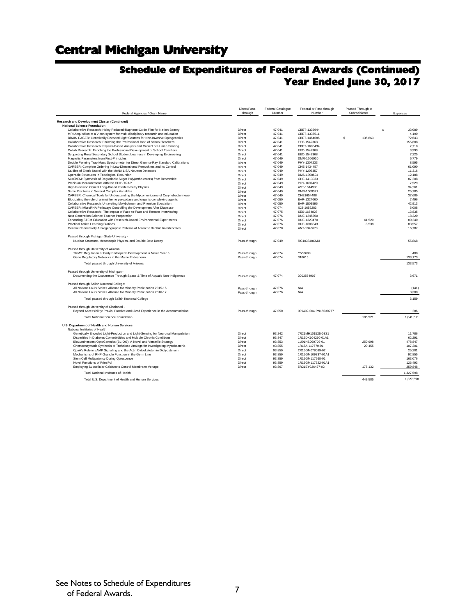### **Schedule of Expenditures of Federal Awards (Continued) Year Ended June 30, 2017**

| Federal Agencies / Grant Name                                                                                                                             | Direct/Pass-<br>through | Federal Catalogue<br>Number | Federal or Pass-through<br>Number      | Passed Through to<br>Subrecipients | Expenses         |
|-----------------------------------------------------------------------------------------------------------------------------------------------------------|-------------------------|-----------------------------|----------------------------------------|------------------------------------|------------------|
| Research and Development Cluster (Continued)                                                                                                              |                         |                             |                                        |                                    |                  |
| <b>National Science Foundation</b>                                                                                                                        |                         |                             |                                        |                                    |                  |
| Collaborative Research: Holey Reduced-Raphene-Oxide Film for Na-Ion Battery                                                                               | Direct                  | 47.041                      | CBET-1335944                           |                                    | s<br>33.089      |
| MRI:Acquisition of a Vicon system for multi-disciplinary research and education                                                                           | Direct                  | 47.041                      | CBET-1337511                           |                                    | 4,190            |
| BRAIN EAGER: Genetically Encoded Light Sources for Non-Invasive Optogenetics                                                                              | Direct                  | 47.041                      | CBET-1464686                           | $\mathbf{s}$<br>135,863            | 72,643           |
| Collaborative Research: Enriching the Professional Dev. of School Teachers                                                                                | Direct                  | 47.041                      | EEC-1542368                            |                                    | 155,608          |
| Collaborative Research: Physics-Based Analysis and Control of Human Snoring                                                                               | Direct                  | 47.041                      | CBET-1605434                           |                                    | 7,710            |
| Collab Research: Enriching the Professional Development of School Teachers                                                                                | Direct                  | 47.041                      | EEC-1542368                            |                                    | 3.993            |
| Supporting Rural Secondary School Student Learners in Developing Engineering                                                                              | Direct                  | 47.041                      | EEC-1542368                            |                                    | 7,225            |
| Magnetic Parameters from First-Principles                                                                                                                 | Direct                  | 47.049                      | DMR-1206920                            |                                    | 6.779            |
| Double Penning Trap Mass Spectrometer for Direct Gamma-Ray Standard Calibrations                                                                          | Direct<br>Direct        | 47.049                      | PHY-1307233                            |                                    | 8.595<br>61,090  |
| CAREER: Complete Ordering in Low-Dimensional Perovskites and Its Control<br>Studies of Exotic Nuclei with the MoNA LISA Neutron Detectors                 | Direct                  | 47.049<br>47.049            | CHE-1434457<br>PHY-1205357             |                                    | 11,316           |
| Operadic Structures in Topological Recursion                                                                                                              | Direct                  | 47.049                      | DMS-1308604                            |                                    | 12,188           |
| SusChEM: Synthesis of Degradable Sugar Poly(ortho esters) from Renewable                                                                                  | Direct                  | 47.049                      | CHE-1413033                            |                                    | 87.208           |
| Precision Measurements with the CHIP-TRAP                                                                                                                 | Direct                  | 47.049                      | PHY-1607429                            |                                    | 7,529            |
| High-Precision Optical Long-Based Interferometry Physics                                                                                                  | Direct                  | 47.049                      | AST-1614983                            |                                    | 34,261           |
| Some Problems in Several Complex Variables                                                                                                                | Direct                  | 47.049                      | DMS-1600371                            |                                    | 25.785           |
| CAREER: Chemical Tools for Understanding the Mycomembrane of Corynebacterineae                                                                            | Direct                  | 47.049                      | CHE1654408                             |                                    | 37,689           |
| Elucidating the role of animal heme peroxidase and organic complexing agents                                                                              | Direct                  | 47.050                      | EAR-1324060                            |                                    | 7,496            |
| Collaborative Research: Unraveling Molybdenum and Rhenium Speciation                                                                                      | Direct                  | 47.050                      | EAR-1503596                            |                                    | 42,913           |
| CAREER: MicroRNA Pathways Controlling the Development After Diapause                                                                                      | Direct                  | 47.074                      | IOS-1652283                            |                                    | 5,008            |
| Collaborative Research: The Impact of Face-to-Face and Remote Interviewing                                                                                | Direct                  | 47.075                      | SES-1654828                            |                                    | 13,835           |
| Next Generation Science Teacher Preparation                                                                                                               | Direct                  | 47.076                      | DUE-1245500                            |                                    | 18.220           |
| Enhancing STEM Education with Research-Based Environmental Experiments                                                                                    | Direct                  | 47.076                      | DUE-1323470                            | 41,520                             | 80,240           |
| <b>Practical Active Learning Stations</b>                                                                                                                 | Direct                  | 47.076                      | DUE-1608043                            | 8.538                              | 83.557           |
| Genetic Connectivity & Biogeographic Patterns of Antarctic Benthic Invertebrates                                                                          | Direct                  | 47.078                      | ANT-1043670                            |                                    | 16,787           |
| Passed through Michigan State University -                                                                                                                |                         |                             |                                        |                                    |                  |
| Nuclear Structure, Mesoscopic Physics, and Double-Beta Decay                                                                                              | Pass-through            | 47.049                      | RC103848CMU                            |                                    | 55,868           |
| Passed through University of Arizona:                                                                                                                     |                         |                             |                                        |                                    |                  |
| TRMS: Regulation of Early Endosperm Development in Maize Year 5                                                                                           | Pass-through            | 47.074                      | Y550699                                |                                    | 400              |
| Gene Regulatory Networks in the Maize Endosperm                                                                                                           | Pass-through            | 47.074                      | 316615                                 |                                    | 133,173          |
| Total passed through University of Arizona                                                                                                                |                         |                             |                                        |                                    | 133,573          |
| Passed through University of Michigan -                                                                                                                   |                         |                             |                                        |                                    |                  |
| Documenting the Occurrence Through Space & Time of Aquatic Non-Indigenous                                                                                 | Pass-through            | 47.074                      | 3003554907                             |                                    | 3,671            |
|                                                                                                                                                           |                         |                             |                                        |                                    |                  |
| Passed through Salish Kootenai College:                                                                                                                   |                         |                             |                                        |                                    |                  |
| All Nations Louis Stokes Alliance for Minority Participation 2015-16                                                                                      | Pass-through            | 47.076<br>47.076            | N/A<br>N/A                             |                                    | (141)            |
| All Nations Louis Stokes Alliance for Minority Participation 2016-17                                                                                      | Pass-through            |                             |                                        |                                    | 3,300            |
| Total passed through Salish Kootenai College                                                                                                              |                         |                             |                                        |                                    | 3,159            |
| Passed through University of Cincinnati -                                                                                                                 |                         |                             |                                        |                                    |                  |
| Beyond Accessibility: Praxis, Practice and Lived Experience in the Accommodation                                                                          | Pass-through            | 47.050                      | 009402-004 PN15030277                  |                                    | 286              |
| <b>Total National Science Foundation</b>                                                                                                                  |                         |                             |                                        | 185.921                            | 1.041.511        |
|                                                                                                                                                           |                         |                             |                                        |                                    |                  |
| U.S. Department of Health and Human Services                                                                                                              |                         |                             |                                        |                                    |                  |
| National Institutes of Health:                                                                                                                            |                         |                             |                                        |                                    |                  |
| Genetically Encoded Light-Production and Light-Sensing for Neuronal Manipulation<br>Disparities in Diabetes Comorbidities and Multiple Chronic Conditions | Direct<br>Direct        | 93.242<br>93.847            | 7R21MH101525-03S1<br>1R15DK104260-01A1 |                                    | 11,786<br>62.291 |
| BioLuminescent OptoGenetics (BL-OG): A Novel and Versatile Strategy                                                                                       | Direct                  | 93.853                      | 1U01NS099709-01                        | 250,998                            | 478,847          |
| Chemoenzymatic Synthesis of Trehalose Analogs for Investigating Mycobacteria                                                                              | Direct                  | 93.855                      | 1R15AI117670-01                        | 20,455                             | 107,201          |
| CpnA's Role in cAMP Signaling and the Actin Cytoskeleton in Dictyostelium                                                                                 | Direct                  | 93.859                      | 2R15GM078089-02                        |                                    | 25.201           |
| Mechanisms of RNP Granule Function in the Germ Line                                                                                                       | Direct                  | 93.859                      | 1R15GM109337-01A1                      |                                    | 92,855           |
| Stem Cell Multipotency During Quiescence                                                                                                                  | Direct                  | 93.859                      | 1R15GM117568-01                        |                                    | 163,076          |
| Novel Functions of Prim Pol                                                                                                                               | Direct                  | 93.859                      | 1R15GM117522-01A1                      |                                    | 126,493          |
| Employing Subcellular Calcium to Control Membrane Voltage                                                                                                 | Direct                  | 93.867                      | 5R21EY026427-02                        | 178,132                            | 259,848          |
| Total National Institutes of Health                                                                                                                       |                         |                             |                                        |                                    | 1,327,598        |
| Total U.S. Department of Health and Human Services                                                                                                        |                         |                             |                                        | 449.585                            | 1,327,598        |
|                                                                                                                                                           |                         |                             |                                        |                                    |                  |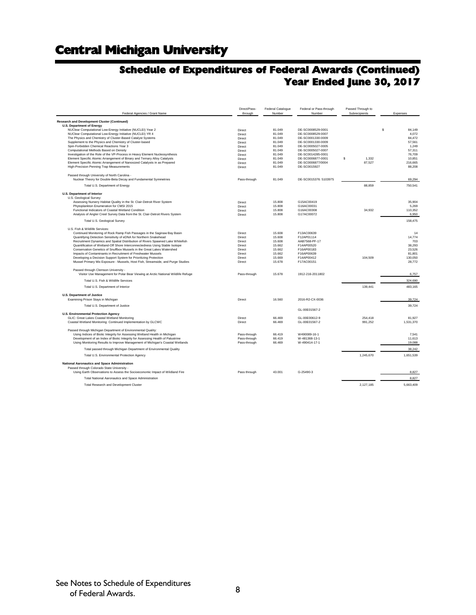### **Schedule of Expenditures of Federal Awards (Continued) Year Ended June 30, 2017**

| Federal Agencies / Grant Name                                                                                                                                                                                                                                                                                                                                                                                                                                                                                                                                                                                                                    | Direct/Pass-<br>through                                                      | <b>Federal Catalogue</b><br>Number                                           | Federal or Pass-through<br>Number                                                                               | Passed Through to<br>Subrecipients | Expenses                                                               |
|--------------------------------------------------------------------------------------------------------------------------------------------------------------------------------------------------------------------------------------------------------------------------------------------------------------------------------------------------------------------------------------------------------------------------------------------------------------------------------------------------------------------------------------------------------------------------------------------------------------------------------------------------|------------------------------------------------------------------------------|------------------------------------------------------------------------------|-----------------------------------------------------------------------------------------------------------------|------------------------------------|------------------------------------------------------------------------|
| Research and Development Cluster (Continued)                                                                                                                                                                                                                                                                                                                                                                                                                                                                                                                                                                                                     |                                                                              |                                                                              |                                                                                                                 |                                    |                                                                        |
| <b>U.S. Department of Energy</b><br>NUClear Computational Low-Energy Initiative (NUCLEI) Year 2<br>NUClear Computational Low-Energy Initiative (NUCLEI) YR 4<br>The Physics and Chemistry of Cluster-Based Catalyst Systems<br>Supplement to the Physics and Chemistry of Cluster-based<br>Spin-Forbidden Chemical Reactions Year 3                                                                                                                                                                                                                                                                                                              | Direct<br>Direct<br>Direct<br>Direct<br>Direct                               | 81.049<br>81.049<br>81.049<br>81.049<br>81.049                               | DE-SC0008529-0001<br>DE-SC0008529-0007<br>DE-SC0001330-0009<br>DE-SC0001330-0009<br>DE-SC0005027-0005           |                                    | s<br>84,149<br>4,072<br>84,472<br>57.561<br>1.249                      |
| Computational Methods Based on Density<br>Investigation of the Role of the VP-Process in Heavy Element Nucleosynthesis                                                                                                                                                                                                                                                                                                                                                                                                                                                                                                                           | Direct<br>Direct                                                             | 81.049<br>81.049                                                             | DE-SC0005027-0007<br>DE-SC0014285-0001                                                                          |                                    | 57,311<br>76,709                                                       |
| Element Specific Atomic Arrangement of Binary and Ternary Alloy Catalysts<br>Element Specific Atomic Arrangement of Nanosized Catalysts in as Prepared<br>High-Precision Penning Trap Measurements                                                                                                                                                                                                                                                                                                                                                                                                                                               | Direct<br>Direct<br>Direct                                                   | 81.049<br>81.049<br>81.049                                                   | DE-SC0006877-0001<br>DE-SC0006877/0004<br>DE-SC0015927                                                          | \$<br>1,332<br>87,527              | 10,851<br>216,665<br>88,208                                            |
| Passed through University of North Carolina -<br>Nuclear Theory for Double-Beta Decay and Fundamental Symmetries                                                                                                                                                                                                                                                                                                                                                                                                                                                                                                                                 | Pass-through                                                                 | 81.049                                                                       | DE-SC0015376: 5103975                                                                                           |                                    | 69.294                                                                 |
| Total U.S. Department of Energy                                                                                                                                                                                                                                                                                                                                                                                                                                                                                                                                                                                                                  |                                                                              |                                                                              |                                                                                                                 | 88,859                             | 750,541                                                                |
| U.S. Department of Interior<br>U.S. Geological Survey:                                                                                                                                                                                                                                                                                                                                                                                                                                                                                                                                                                                           |                                                                              |                                                                              |                                                                                                                 |                                    |                                                                        |
| Assessing Nursery Habitat Quality in the St. Clair-Detroit River System<br>Phytoplankton Enumeration for CMSI 2015<br>Functional Indicators of Coastal Wetland Condition<br>Analysis of Angler Creel Survey Data from the St. Clair-Detroit Rivers System                                                                                                                                                                                                                                                                                                                                                                                        | Direct<br>Direct<br>Direct<br>Direct                                         | 15.808<br>15,808<br>15.808<br>15,808                                         | G15AC00419<br>G16AC00031<br>G16AC00308<br>G17AC00072                                                            | 34,932                             | 35,904<br>5,269<br>110,352<br>6,950                                    |
| Total U.S. Geological Survey                                                                                                                                                                                                                                                                                                                                                                                                                                                                                                                                                                                                                     |                                                                              |                                                                              |                                                                                                                 |                                    | 158,475                                                                |
| U.S. Fish & Wildlife Services:<br>Continued Monitoring of Rock Ramp Fish Passages in the Saginaw Bay Basin<br>Quantifying Detection Sensitivity of eDNA for Northern Snakehead<br>Recruitment Dynamics and Spatial Distribution of Rivers Spawned Lake Whitefish<br>Quantification of Wetland-Off Shore Interconnectedness Using Stable Isotope<br>Conservation Genetics of Snuffbox Mussels in the Great Lakes Watershed<br>Impacts of Contaminants in Recruitment of Freshwater Mussels<br>Developing a Decision Support System for Prioritizing Protection<br>Mussel Primary Mix Exposure - Mussels, Host Fish, Streamside, and Purge Studies | Direct<br>Direct<br>Direct<br>Direct<br>Direct<br>Direct<br>Direct<br>Direct | 15,608<br>15,608<br>15,608<br>15.662<br>15.662<br>15.662<br>15,669<br>15,678 | F13AC00639<br>F12AP01114<br>AAB7568-PF-17<br>F14AP00520<br>F16AP00183<br>F16AP00639<br>F14AP00412<br>F17AC00151 | 104,509                            | 14<br>14.774<br>703<br>38,293<br>23,526<br>81,801<br>130,050<br>28.772 |
| Passed through Clemson University -<br>Visitor Use Management for Polar Bear Viewing at Arctic National Wildlife Refuge                                                                                                                                                                                                                                                                                                                                                                                                                                                                                                                          | Pass-through                                                                 | 15.678                                                                       | 1912-216-2011802                                                                                                |                                    | 6.757                                                                  |
| Total U.S. Fish & Wildlife Services                                                                                                                                                                                                                                                                                                                                                                                                                                                                                                                                                                                                              |                                                                              |                                                                              |                                                                                                                 |                                    | 324,690                                                                |
| Total U.S. Department of Interior                                                                                                                                                                                                                                                                                                                                                                                                                                                                                                                                                                                                                |                                                                              |                                                                              |                                                                                                                 | 139.441                            | 483.165                                                                |
| <b>U.S. Department of Justice</b><br>Examining Prison Stays in Michigan                                                                                                                                                                                                                                                                                                                                                                                                                                                                                                                                                                          | Direct                                                                       | 16.560                                                                       | 2016-R2-CX-0036                                                                                                 |                                    | 39,724                                                                 |
| Total U.S. Department of Justice                                                                                                                                                                                                                                                                                                                                                                                                                                                                                                                                                                                                                 |                                                                              |                                                                              | GL-00E01567-2                                                                                                   |                                    | 39.724                                                                 |
| <b>U.S. Environmental Protection Agency</b><br>GLIC: Great Lakes Coastal Wetland Monitoring<br>Coastal Wetland Monitoring: Continued Implementation by GLCWC                                                                                                                                                                                                                                                                                                                                                                                                                                                                                     | Direct<br>Direct                                                             | 66,469<br>66,469                                                             | GL-00E00612-9<br>GI-00E01567-2                                                                                  | 254.418<br>991.252                 | 81.927<br>1,531,370                                                    |
| Passed through Michigan Department of Environmental Quality:<br>Using Indices of Biotic Integrity for Assessing Wetland Health in Michigan<br>Development of an Index of Biotic Integrity for Assessing Health of Palustrine<br>Using Monitoring Results to Improve Management of Michigan's Coastal Wetlands                                                                                                                                                                                                                                                                                                                                    | Pass-through<br>Pass-through<br>Pass-through                                 | 66.419<br>66.419<br>66,469                                                   | W490089-16-1<br>W-481368-13-1<br>W-490414-17-1                                                                  |                                    | 7.541<br>11,613<br>19.088                                              |
| Total passed through Michigan Department of Environmental Quality                                                                                                                                                                                                                                                                                                                                                                                                                                                                                                                                                                                |                                                                              |                                                                              |                                                                                                                 |                                    | 38,242                                                                 |
| Total U.S. Environmental Protection Agency                                                                                                                                                                                                                                                                                                                                                                                                                                                                                                                                                                                                       |                                                                              |                                                                              |                                                                                                                 | 1,245,670                          | 1,651,539                                                              |
| National Aaronautics and Space Administration<br>Passed through Colorado State University -<br>Using Earth Observations to Assess the Socioeconomic Impact of Wildland Fire                                                                                                                                                                                                                                                                                                                                                                                                                                                                      | Pass through                                                                 | 43.001                                                                       | $G-25490-3$                                                                                                     |                                    | 8,827                                                                  |
| Total National Aaronautics and Space Administration                                                                                                                                                                                                                                                                                                                                                                                                                                                                                                                                                                                              |                                                                              |                                                                              |                                                                                                                 |                                    | 8.827                                                                  |
| <b>Total Research and Development Cluster</b>                                                                                                                                                                                                                                                                                                                                                                                                                                                                                                                                                                                                    |                                                                              |                                                                              |                                                                                                                 | 2.127.185                          | 5.663.409                                                              |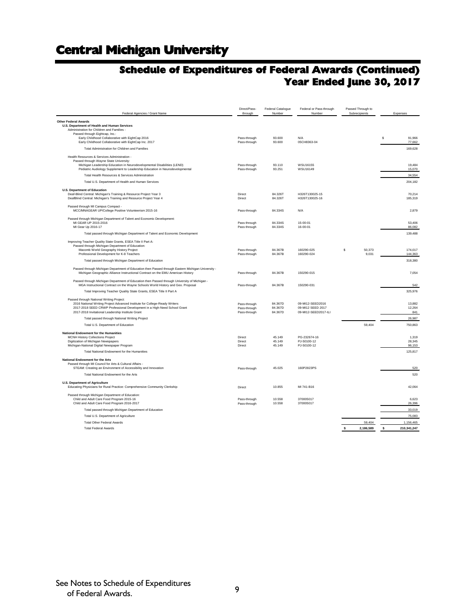### **Schedule of Expenditures of Federal Awards (Continued) Year Ended June 30, 2017**

| Federal Agencies / Grant Name                                                                                                                                                        | Direct/Pass-<br>through      | Federal Catalogue<br>Number | Federal or Pass-through<br>Number     | Passed Through to<br>Subrecipients | Expenses               |
|--------------------------------------------------------------------------------------------------------------------------------------------------------------------------------------|------------------------------|-----------------------------|---------------------------------------|------------------------------------|------------------------|
| <b>Other Federal Awards</b>                                                                                                                                                          |                              |                             |                                       |                                    |                        |
| U.S. Department of Health and Human Services                                                                                                                                         |                              |                             |                                       |                                    |                        |
| Administration for Children and Families -<br>Passed through Eightcap, Inc.:                                                                                                         |                              |                             |                                       |                                    |                        |
| Early Childhood Collaborative with EightCap 2016                                                                                                                                     | Pass-through                 | 93,600                      | N/A                                   |                                    | 91.966<br>$\mathbf{s}$ |
| Early Childhood Collaborative with EightCap Inc. 2017                                                                                                                                | Pass-through                 | 93.600                      | 05CH8363-04                           |                                    | 77,662                 |
| Total Administration for Children and Families                                                                                                                                       |                              |                             |                                       |                                    | 169,628                |
| Health Resources & Services Administration -                                                                                                                                         |                              |                             |                                       |                                    |                        |
| Passed through Wayne State University:<br>Michigan Leadership Education in Neurodevelopmental Disabilities (LEND)                                                                    | Pass-through                 | 93.110                      | WSU16155                              |                                    | 19,484                 |
| Pediatric Audiology Supplement to Leadership Education in Neurodevelopmental                                                                                                         | Pass-through                 | 93.251                      | WSU16149                              |                                    | 15,070                 |
| Total Health Resources & Services Administration                                                                                                                                     |                              |                             |                                       |                                    | 34.554                 |
| Total U.S. Department of Health and Human Services                                                                                                                                   |                              |                             |                                       |                                    | 204,182                |
| <b>U.S. Department of Education</b>                                                                                                                                                  |                              |                             |                                       |                                    |                        |
| Deaf-Blind Central: Michigan's Training & Resource Project Year 3                                                                                                                    | Direct                       | 84.326T                     | H326T130025-15                        |                                    | 70.214                 |
| DeafBlind Central: Michigan's Training and Resource Project Year 4                                                                                                                   | Direct                       | 84.326T                     | H326T130025-16                        |                                    | 185,319                |
| Passed through MI Campus Compact -                                                                                                                                                   |                              |                             |                                       |                                    |                        |
| MCC/MNAGEAR UP/College Positive Volunteerism 2015-16                                                                                                                                 | Pass-through                 | 84.334S                     | N/A                                   |                                    | 2.879                  |
| Passed through Michigan Department of Talent and Economic Development:                                                                                                               |                              |                             |                                       |                                    |                        |
| MI GEAR UP 2015-2016                                                                                                                                                                 | Pass through                 | 84.334S                     | $15 - 00 - 01$                        |                                    | 53,406                 |
| MI Gear Up 2016-17                                                                                                                                                                   | Pass through                 | 84.334S                     | 16-00-01                              |                                    | 86,082                 |
| Total passed through Michigan Department of Talent and Economic Development                                                                                                          |                              |                             |                                       |                                    | 139,488                |
| Improving Teacher Quality State Grants, ESEA Title II Part A:                                                                                                                        |                              |                             |                                       |                                    |                        |
| Passed through Michigan Department of Education:<br>Macomb World Geography History Project                                                                                           | Pass-through                 | 84.367B                     | 160290-025                            | \$<br>50,373                       | 174.017                |
| Professional Development for K-8 Teachers                                                                                                                                            | Pass-through                 | 84.367B                     | 160290-024                            | 9,031                              | 144,363                |
| Total passed through Michigan Department of Education                                                                                                                                |                              |                             |                                       |                                    | 318,380                |
| Passed through Michigan Department of Education then Passed through Eastern Michigan University -<br>Michigan Geographic Alliance Instructional Contract on the EMU American History | Pass-through                 | 84.367B                     | 150290-015                            |                                    | 7,054                  |
| Passed through Michigan Department of Education then Passed through University of Michigan -                                                                                         |                              |                             |                                       |                                    |                        |
| MGA Instructional Contract on the Wayne Schools World History and Geo. Proposal                                                                                                      | Pass-through                 | 84.367B                     | 150290-031                            |                                    | 542                    |
| Total Improving Teacher Quality State Grants, ESEA Title II Part A                                                                                                                   |                              |                             |                                       |                                    | 325,976                |
| Passed through National Writing Project:                                                                                                                                             |                              |                             |                                       |                                    |                        |
| 2016 National Writing Project Advanced Institute for College-Ready Writers                                                                                                           | Pass-through                 | 84.367D<br>84.367D          | 09-MI12-SEED2016<br>09-MI12 SEED 2017 |                                    | 13,882                 |
| 2017-2018 SEED CRWP Professional Development in a High-Need School Grant<br>2017-2018 Invitational Leadership Institute Grant                                                        | Pass-through<br>Pass-through | 84.367D                     | 09-MI12-SEED2017-ILI                  |                                    | 12,264<br>841          |
| Total passed through National Writing Project                                                                                                                                        |                              |                             |                                       |                                    | 26,987                 |
| Total U.S. Department of Education                                                                                                                                                   |                              |                             |                                       | 59,404                             | 750.863                |
|                                                                                                                                                                                      |                              |                             |                                       |                                    |                        |
| National Endowment for the Humanities<br><b>MCNH History Collections Project</b>                                                                                                     | Direct                       | 45.149                      | PG-232674-16                          |                                    | 1,319                  |
| Digitization of Michigan Newspapers                                                                                                                                                  | Direct                       | 45.149                      | PJ-50100-12                           |                                    | 28,345                 |
| Michigan-National Digital Newspaper Program                                                                                                                                          | Direct                       | 45.149                      | PJ-50100-12                           |                                    | 96,153                 |
| Total National Endowment for the Humanities                                                                                                                                          |                              |                             |                                       |                                    | 125,817                |
| National Endowment for the Arts                                                                                                                                                      |                              |                             |                                       |                                    |                        |
| Passed through MI Council for Arts & Cultural Affairs -                                                                                                                              |                              |                             |                                       |                                    |                        |
| STEAM: Creating an Environment of Accessibility and Innovation                                                                                                                       | Pass-through                 | 45.025                      | 160P2823PS                            |                                    | 520                    |
| Total National Endowment for the Arts                                                                                                                                                |                              |                             |                                       |                                    | 520                    |
| <b>U.S. Department of Agriculture</b><br>Educating Physicians for Rural Practice: Comprehensive Community Clerkship                                                                  | Direct                       | 10.855                      | MI 741-B16                            |                                    | 42,064                 |
| Passed through Michigan Department of Education:                                                                                                                                     |                              |                             |                                       |                                    |                        |
| Child and Adult Care Food Program 2015-16                                                                                                                                            | Pass-through                 | 10.558                      | 370005017                             |                                    | 6,623                  |
| Child and Adult Care Food Program 2016-2017                                                                                                                                          | Pass-through                 | 10.558                      | 370005017                             |                                    | 26,396                 |
| Total passed through Michigan Department of Education                                                                                                                                |                              |                             |                                       |                                    | 33,019                 |
| Total U.S. Department of Agriculture                                                                                                                                                 |                              |                             |                                       |                                    | 75,083                 |
| <b>Total Other Federal Awards</b>                                                                                                                                                    |                              |                             |                                       | 59.404                             | 1,156,465              |
| <b>Total Federal Awards</b>                                                                                                                                                          |                              |                             |                                       | 2,186,589<br>s                     | 210,341,247<br>s       |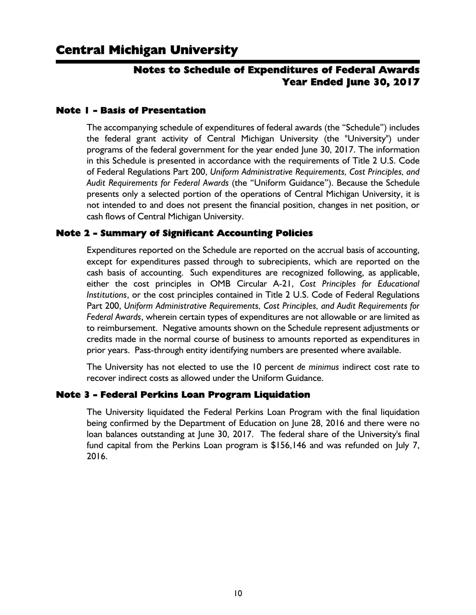### Notes to Schedule of Expenditures of Federal Awards Year Ended June 30, 2017

### Note 1 - Basis of Presentation

The accompanying schedule of expenditures of federal awards (the "Schedule") includes the federal grant activity of Central Michigan University (the "University") under programs of the federal government for the year ended June 30, 2017. The information in this Schedule is presented in accordance with the requirements of Title 2 U.S. Code of Federal Regulations Part 200, *Uniform Administrative Requirements, Cost Principles, and Audit Requirements for Federal Awards* (the "Uniform Guidance"). Because the Schedule presents only a selected portion of the operations of Central Michigan University, it is not intended to and does not present the financial position, changes in net position, or cash flows of Central Michigan University.

### Note 2 - Summary of Significant Accounting Policies

Expenditures reported on the Schedule are reported on the accrual basis of accounting, except for expenditures passed through to subrecipients, which are reported on the cash basis of accounting. Such expenditures are recognized following, as applicable, either the cost principles in OMB Circular A-21, *Cost Principles for Educational Institutions*, or the cost principles contained in Title 2 U.S. Code of Federal Regulations Part 200, *Uniform Administrative Requirements, Cost Principles, and Audit Requirements for Federal Awards*, wherein certain types of expenditures are not allowable or are limited as to reimbursement. Negative amounts shown on the Schedule represent adjustments or credits made in the normal course of business to amounts reported as expenditures in prior years. Pass-through entity identifying numbers are presented where available.

The University has not elected to use the 10 percent *de minimus* indirect cost rate to recover indirect costs as allowed under the Uniform Guidance.

### Note 3 - Federal Perkins Loan Program Liquidation

The University liquidated the Federal Perkins Loan Program with the final liquidation being confirmed by the Department of Education on June 28, 2016 and there were no loan balances outstanding at June 30, 2017. The federal share of the University's final fund capital from the Perkins Loan program is \$156,146 and was refunded on July 7, 2016.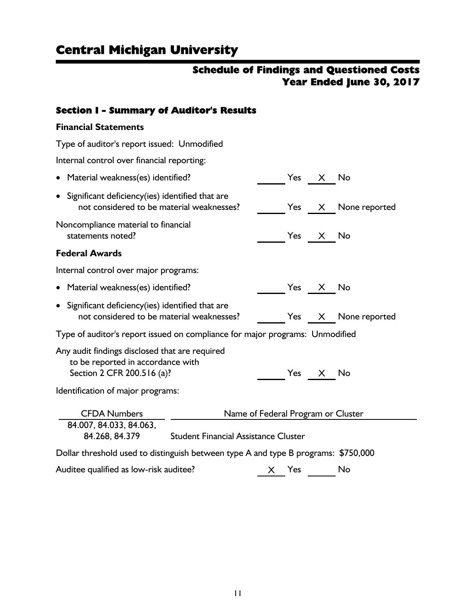### Schedule of Findings and Questioned Costs Year Ended June 30, 2017

### Section I - Summary of Auditor's Results

### **Financial Statements**

| Type of auditor's report issued: Unmodified                                                                                                            |  |  |     |          |               |  |
|--------------------------------------------------------------------------------------------------------------------------------------------------------|--|--|-----|----------|---------------|--|
| Internal control over financial reporting:                                                                                                             |  |  |     |          |               |  |
| Material weakness(es) identified?                                                                                                                      |  |  | Yes | X —      | No            |  |
| Significant deficiency(ies) identified that are<br>not considered to be material weaknesses?                                                           |  |  |     | Yes X    | None reported |  |
| Noncompliance material to financial<br>statements noted?                                                                                               |  |  |     | Yes X    | No            |  |
| <b>Federal Awards</b>                                                                                                                                  |  |  |     |          |               |  |
| Internal control over major programs:                                                                                                                  |  |  |     |          |               |  |
| Material weakness(es) identified?                                                                                                                      |  |  |     | Yes X No |               |  |
| • Significant deficiency(ies) identified that are<br>not considered to be material weaknesses?                                                         |  |  | Yes | X —      | None reported |  |
| Type of auditor's report issued on compliance for major programs: Unmodified                                                                           |  |  |     |          |               |  |
| Any audit findings disclosed that are required<br>to be reported in accordance with<br>Section 2 CFR 200.516 (a)?<br>Identification of major programs: |  |  | Yes | X        | No            |  |
| <b>CFDA Numbers</b><br>Name of Federal Program or Cluster                                                                                              |  |  |     |          |               |  |
| 84.007, 84.033, 84.063,<br>84.268, 84.379<br><b>Student Financial Assistance Cluster</b>                                                               |  |  |     |          |               |  |
| Dollar threshold used to distinguish between type A and type B programs: \$750,000                                                                     |  |  |     |          |               |  |
| Auditee qualified as low-risk auditee?                                                                                                                 |  |  | Yes |          | No            |  |